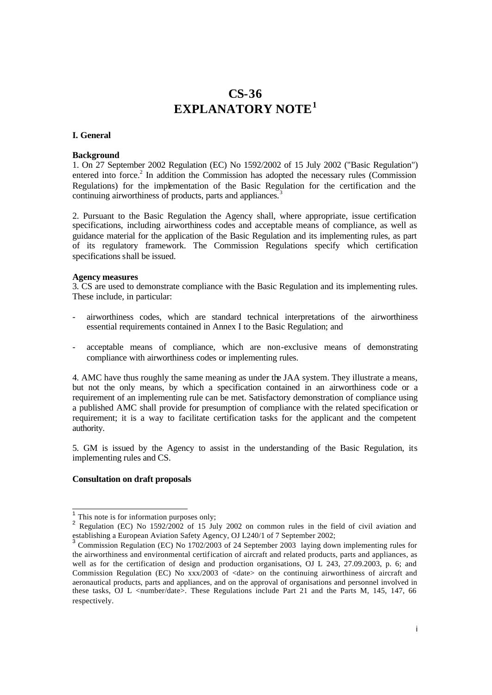# **CS-36 EXPLANATORY NOTE<sup>1</sup>**

# **I. General**

#### **Background**

1. On 27 September 2002 Regulation (EC) No 1592/2002 of 15 July 2002 ("Basic Regulation") entered into force.<sup>2</sup> In addition the Commission has adopted the necessary rules (Commission Regulations) for the implementation of the Basic Regulation for the certification and the continuing airworthiness of products, parts and appliances.<sup>3</sup>

2. Pursuant to the Basic Regulation the Agency shall, where appropriate, issue certification specifications, including airworthiness codes and acceptable means of compliance, as well as guidance material for the application of the Basic Regulation and its implementing rules, as part of its regulatory framework. The Commission Regulations specify which certification specifications shall be issued.

#### **Agency measures**

3. CS are used to demonstrate compliance with the Basic Regulation and its implementing rules. These include, in particular:

- airworthiness codes, which are standard technical interpretations of the airworthiness essential requirements contained in Annex I to the Basic Regulation; and
- acceptable means of compliance, which are non-exclusive means of demonstrating compliance with airworthiness codes or implementing rules.

4. AMC have thus roughly the same meaning as under the JAA system. They illustrate a means, but not the only means, by which a specification contained in an airworthiness code or a requirement of an implementing rule can be met. Satisfactory demonstration of compliance using a published AMC shall provide for presumption of compliance with the related specification or requirement; it is a way to facilitate certification tasks for the applicant and the competent authority.

5. GM is issued by the Agency to assist in the understanding of the Basic Regulation, its implementing rules and CS.

## **Consultation on draft proposals**

<sup>&</sup>lt;sup>1</sup> This note is for information purposes only;

<sup>&</sup>lt;sup>2</sup> Regulation (EC) No 1592/2002 of 15 July 2002 on common rules in the field of civil aviation and establishing a European Aviation Safety Agency, OJ L240/1 of 7 September 2002;<br>3 Centralism Resulting (EQ) Nr. 1702/0002 of 24 September 2002, India, Jam

Commission Regulation (EC) No 1702/2003 of 24 September 2003 laying down implementing rules for the airworthiness and environmental certification of aircraft and related products, parts and appliances, as well as for the certification of design and production organisations, OJ L 243, 27.09.2003, p. 6; and Commission Regulation (EC) No xxx/2003 of <date> on the continuing airworthiness of aircraft and aeronautical products, parts and appliances, and on the approval of organisations and personnel involved in these tasks, OJ L <number/date>. These Regulations include Part 21 and the Parts M, 145, 147, 66 respectively.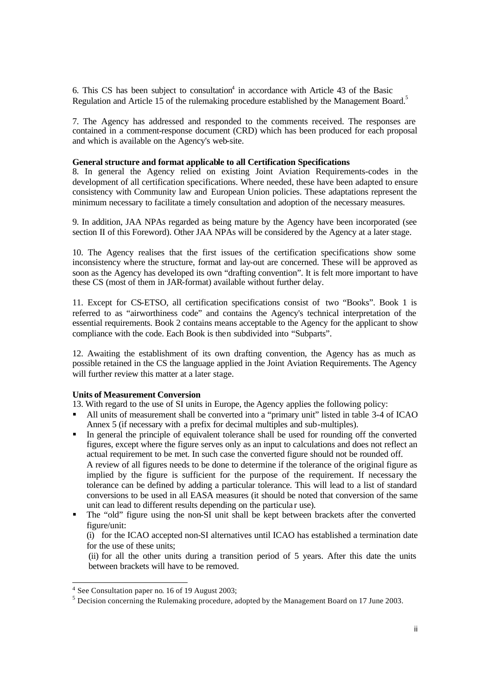6. This CS has been subject to consultation 4 in accordance with Article 43 of the Basic Regulation and Article 15 of the rulemaking procedure established by the Management Board.<sup>5</sup>

7. The Agency has addressed and responded to the comments received. The responses are contained in a comment-response document (CRD) which has been produced for each proposal and which is available on the Agency's web-site.

## **General structure and format applicable to all Certification Specifications**

8. In general the Agency relied on existing Joint Aviation Requirements-codes in the development of all certification specifications. Where needed, these have been adapted to ensure consistency with Community law and European Union policies. These adaptations represent the minimum necessary to facilitate a timely consultation and adoption of the necessary measures.

9. In addition, JAA NPAs regarded as being mature by the Agency have been incorporated (see section II of this Foreword). Other JAA NPAs will be considered by the Agency at a later stage.

10. The Agency realises that the first issues of the certification specifications show some inconsistency where the structure, format and lay-out are concerned. These will be approved as soon as the Agency has developed its own "drafting convention". It is felt more important to have these CS (most of them in JAR-format) available without further delay.

11. Except for CS-ETSO, all certification specifications consist of two "Books". Book 1 is referred to as "airworthiness code" and contains the Agency's technical interpretation of the essential requirements. Book 2 contains means acceptable to the Agency for the applicant to show compliance with the code. Each Book is then subdivided into "Subparts".

12. Awaiting the establishment of its own drafting convention, the Agency has as much as possible retained in the CS the language applied in the Joint Aviation Requirements. The Agency will further review this matter at a later stage.

## **Units of Measurement Conversion**

13. With regard to the use of SI units in Europe, the Agency applies the following policy:

- ß All units of measurement shall be converted into a "primary unit" listed in table 3-4 of ICAO Annex 5 (if necessary with a prefix for decimal multiples and sub-multiples).
- ß In general the principle of equivalent tolerance shall be used for rounding off the converted figures, except where the figure serves only as an input to calculations and does not reflect an actual requirement to be met. In such case the converted figure should not be rounded off. A review of all figures needs to be done to determine if the tolerance of the original figure as implied by the figure is sufficient for the purpose of the requirement. If necessary the tolerance can be defined by adding a particular tolerance. This will lead to a list of standard conversions to be used in all EASA measures (it should be noted that conversion of the same unit can lead to different results depending on the particula r use).
- ß The "old" figure using the non-SI unit shall be kept between brackets after the converted figure/unit:

(i) for the ICAO accepted non-SI alternatives until ICAO has established a termination date for the use of these units;

(ii) for all the other units during a transition period of 5 years. After this date the units between brackets will have to be removed.

l

<sup>&</sup>lt;sup>4</sup> See Consultation paper no. 16 of 19 August 2003;

 $<sup>5</sup>$  Decision concerning the Rulemaking procedure, adopted by the Management Board on 17 June 2003.</sup>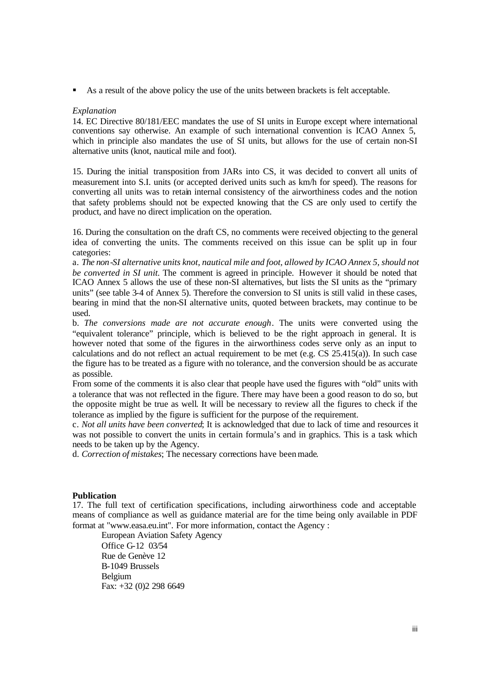ß As a result of the above policy the use of the units between brackets is felt acceptable.

### *Explanation*

14. EC Directive 80/181/EEC mandates the use of SI units in Europe except where international conventions say otherwise. An example of such international convention is ICAO Annex 5, which in principle also mandates the use of SI units, but allows for the use of certain non-SI alternative units (knot, nautical mile and foot).

15. During the initial transposition from JARs into CS, it was decided to convert all units of measurement into S.I. units (or accepted derived units such as km/h for speed). The reasons for converting all units was to retain internal consistency of the airworthiness codes and the notion that safety problems should not be expected knowing that the CS are only used to certify the product, and have no direct implication on the operation.

16. During the consultation on the draft CS, no comments were received objecting to the general idea of converting the units. The comments received on this issue can be split up in four categories:

a. *The non-SI alternative units knot, nautical mile and foot, allowed by ICAO Annex 5, should not be converted in SI unit.* The comment is agreed in principle. However it should be noted that ICAO Annex 5 allows the use of these non-SI alternatives, but lists the SI units as the "primary units" (see table 3-4 of Annex 5). Therefore the conversion to SI units is still valid in these cases, bearing in mind that the non-SI alternative units, quoted between brackets, may continue to be used.

b. *The conversions made are not accurate enough*. The units were converted using the "equivalent tolerance" principle, which is believed to be the right approach in general. It is however noted that some of the figures in the airworthiness codes serve only as an input to calculations and do not reflect an actual requirement to be met (e.g. CS 25.415(a)). In such case the figure has to be treated as a figure with no tolerance, and the conversion should be as accurate as possible.

From some of the comments it is also clear that people have used the figures with "old" units with a tolerance that was not reflected in the figure. There may have been a good reason to do so, but the opposite might be true as well. It will be necessary to review all the figures to check if the tolerance as implied by the figure is sufficient for the purpose of the requirement.

c. *Not all units have been converted*; It is acknowledged that due to lack of time and resources it was not possible to convert the units in certain formula's and in graphics. This is a task which needs to be taken up by the Agency.

d. *Correction of mistakes*; The necessary corrections have been made.

### **Publication**

17. The full text of certification specifications, including airworthiness code and acceptable means of compliance as well as guidance material are for the time being only available in PDF format at "www.easa.eu.int". For more information, contact the Agency :

European Aviation Safety Agency Office G-12 03/54 Rue de Genève 12 B-1049 Brussels Belgium Fax: +32 (0)2 298 6649